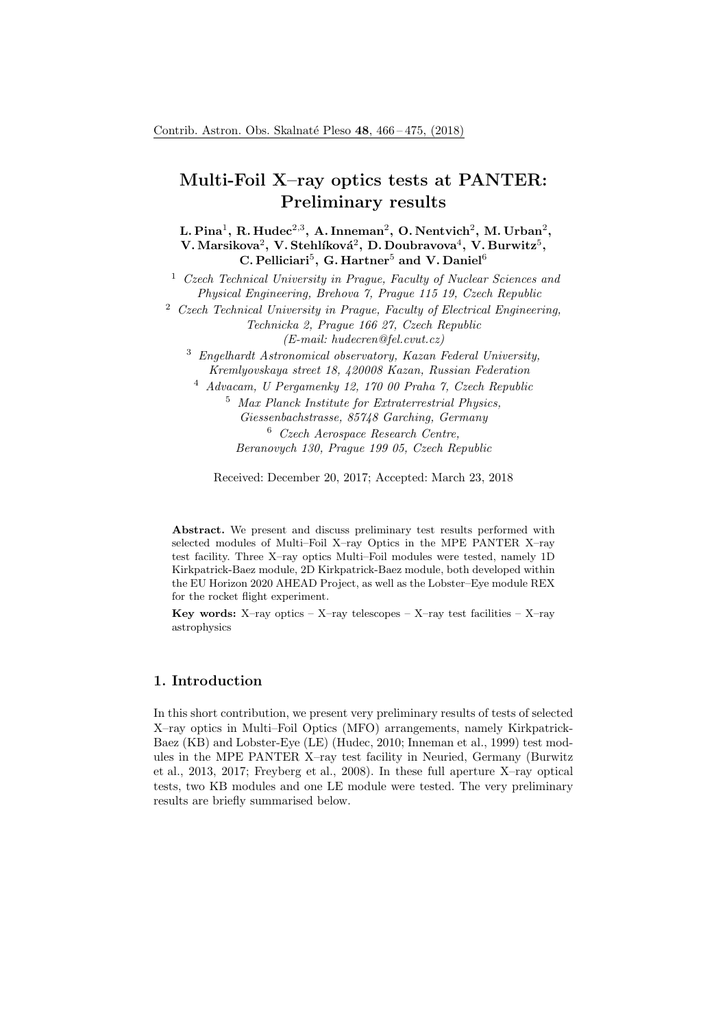# Multi-Foil X–ray optics tests at PANTER: Preliminary results

L. Pina $^1$ , R. Hudec $^{2,3}, \,$ A. Inneman $^2, \,$ O. Nentvich $^2, \,$ M. Urban $^2,$  ${\bf V.~Marsikova}^2,~{\bf V.~Stehlíková}^2,~{\bf D.~Doubravova}^4,~{\bf V.~Burwitz}^5,$ C. Pelliciari<sup>5</sup>, G. Hartner<sup>5</sup> and V. Daniel<sup>6</sup>

<sup>1</sup> Czech Technical University in Prague, Faculty of Nuclear Sciences and Physical Engineering, Brehova 7, Prague 115 19, Czech Republic

 $2$  Czech Technical University in Prague, Faculty of Electrical Engineering, Technicka 2, Prague 166 27, Czech Republic (E-mail: hudecren@fel.cvut.cz)

<sup>3</sup> Engelhardt Astronomical observatory, Kazan Federal University, Kremlyovskaya street 18, 420008 Kazan, Russian Federation

<sup>4</sup> Advacam, U Pergamenky 12, 170 00 Praha 7, Czech Republic <sup>5</sup> Max Planck Institute for Extraterrestrial Physics,

> Giessenbachstrasse, 85748 Garching, Germany <sup>6</sup> Czech Aerospace Research Centre, Beranovych 130, Prague 199 05, Czech Republic

Received: December 20, 2017; Accepted: March 23, 2018

Abstract. We present and discuss preliminary test results performed with selected modules of Multi–Foil X–ray Optics in the MPE PANTER X–ray test facility. Three X–ray optics Multi–Foil modules were tested, namely 1D Kirkpatrick-Baez module, 2D Kirkpatrick-Baez module, both developed within the EU Horizon 2020 AHEAD Project, as well as the Lobster–Eye module REX for the rocket flight experiment.

Key words: X-ray optics – X-ray telescopes – X-ray test facilities – X-ray astrophysics

## 1. Introduction

In this short contribution, we present very preliminary results of tests of selected X–ray optics in Multi–Foil Optics (MFO) arrangements, namely Kirkpatrick-Baez (KB) and Lobster-Eye (LE) (Hudec, 2010; Inneman et al., 1999) test modules in the MPE PANTER X–ray test facility in Neuried, Germany (Burwitz et al., 2013, 2017; Freyberg et al., 2008). In these full aperture X–ray optical tests, two KB modules and one LE module were tested. The very preliminary results are briefly summarised below.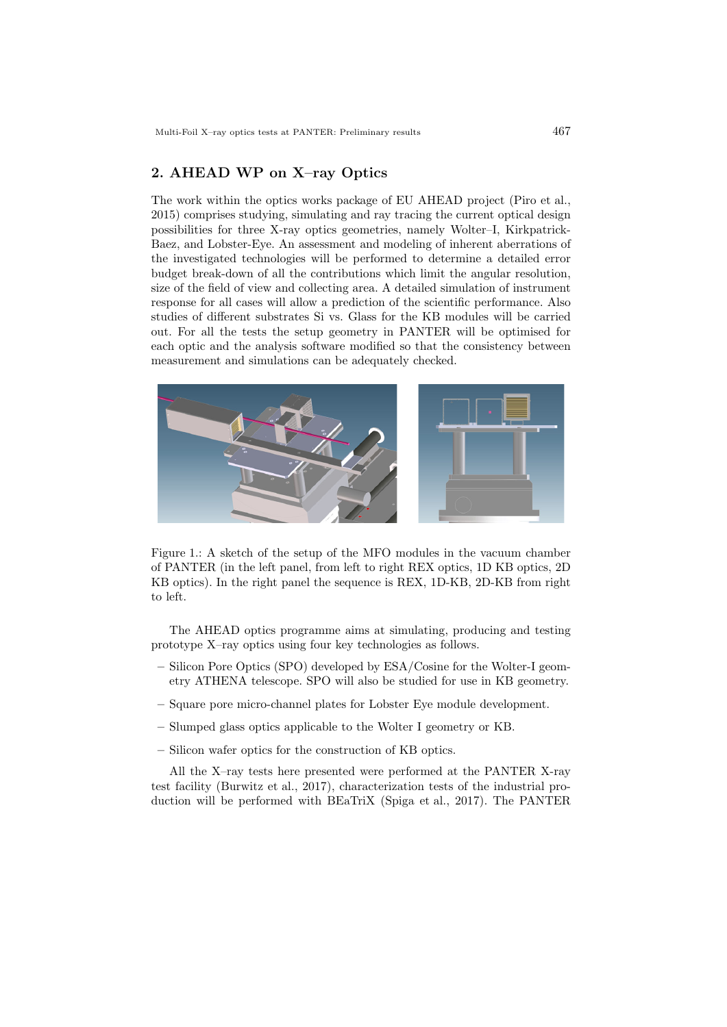# 2. AHEAD WP on X–ray Optics

The work within the optics works package of EU AHEAD project (Piro et al., 2015) comprises studying, simulating and ray tracing the current optical design possibilities for three X-ray optics geometries, namely Wolter–I, Kirkpatrick-Baez, and Lobster-Eye. An assessment and modeling of inherent aberrations of the investigated technologies will be performed to determine a detailed error budget break-down of all the contributions which limit the angular resolution, size of the field of view and collecting area. A detailed simulation of instrument response for all cases will allow a prediction of the scientific performance. Also studies of different substrates Si vs. Glass for the KB modules will be carried out. For all the tests the setup geometry in PANTER will be optimised for each optic and the analysis software modified so that the consistency between measurement and simulations can be adequately checked.



Figure 1.: A sketch of the setup of the MFO modules in the vacuum chamber of PANTER (in the left panel, from left to right REX optics, 1D KB optics, 2D KB optics). In the right panel the sequence is REX, 1D-KB, 2D-KB from right to left.

The AHEAD optics programme aims at simulating, producing and testing prototype X–ray optics using four key technologies as follows.

- Silicon Pore Optics (SPO) developed by ESA/Cosine for the Wolter-I geometry ATHENA telescope. SPO will also be studied for use in KB geometry.
- Square pore micro-channel plates for Lobster Eye module development.
- Slumped glass optics applicable to the Wolter I geometry or KB.
- Silicon wafer optics for the construction of KB optics.

All the X–ray tests here presented were performed at the PANTER X-ray test facility (Burwitz et al., 2017), characterization tests of the industrial production will be performed with BEaTriX (Spiga et al., 2017). The PANTER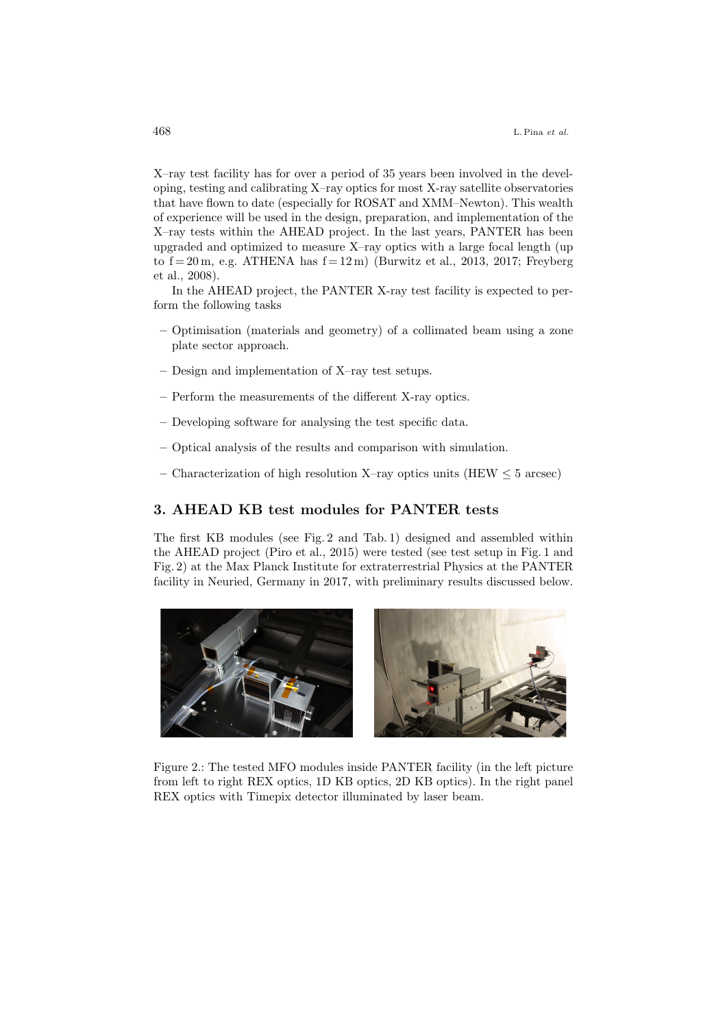X–ray test facility has for over a period of 35 years been involved in the developing, testing and calibrating X–ray optics for most X-ray satellite observatories that have flown to date (especially for ROSAT and XMM–Newton). This wealth of experience will be used in the design, preparation, and implementation of the X–ray tests within the AHEAD project. In the last years, PANTER has been upgraded and optimized to measure X–ray optics with a large focal length (up to  $f = 20$  m, e.g. ATHENA has  $f = 12$  m) (Burwitz et al., 2013, 2017; Freyberg et al., 2008).

In the AHEAD project, the PANTER X-ray test facility is expected to perform the following tasks

- Optimisation (materials and geometry) of a collimated beam using a zone plate sector approach.
- Design and implementation of X–ray test setups.
- Perform the measurements of the different X-ray optics.
- Developing software for analysing the test specific data.
- Optical analysis of the results and comparison with simulation.
- Characterization of high resolution X–ray optics units (HEW  $\leq 5$  arcsec)

### 3. AHEAD KB test modules for PANTER tests

The first KB modules (see Fig. 2 and Tab. 1) designed and assembled within the AHEAD project (Piro et al., 2015) were tested (see test setup in Fig. 1 and Fig. 2) at the Max Planck Institute for extraterrestrial Physics at the PANTER facility in Neuried, Germany in 2017, with preliminary results discussed below.



Figure 2.: The tested MFO modules inside PANTER facility (in the left picture from left to right REX optics, 1D KB optics, 2D KB optics). In the right panel REX optics with Timepix detector illuminated by laser beam.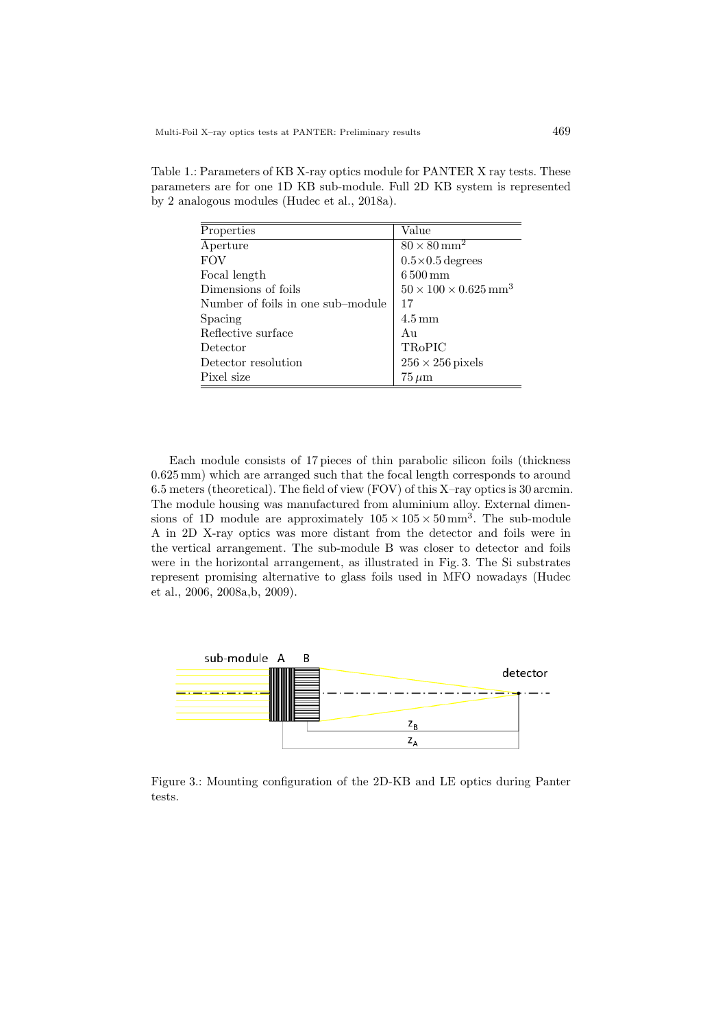| Properties                        | Value                                        |
|-----------------------------------|----------------------------------------------|
| Aperture                          | $80 \times 80$ mm <sup>2</sup>               |
| <b>FOV</b>                        | $0.5 \times 0.5$ degrees                     |
| Focal length                      | $6500 \,\mathrm{mm}$                         |
| Dimensions of foils               | $50 \times 100 \times 0.625$ mm <sup>3</sup> |
| Number of foils in one sub-module | 17                                           |
| Spacing                           | $4.5 \,\mathrm{mm}$                          |
| Reflective surface                | A <sub>11</sub>                              |
| Detector                          | <b>TRoPIC</b>                                |
| Detector resolution               | $256 \times 256$ pixels                      |
| Pixel size                        | $75 \,\mu m$                                 |

Table 1.: Parameters of KB X-ray optics module for PANTER X ray tests. These parameters are for one 1D KB sub-module. Full 2D KB system is represented by 2 analogous modules (Hudec et al., 2018a).

Each module consists of 17 pieces of thin parabolic silicon foils (thickness 0.625 mm) which are arranged such that the focal length corresponds to around 6.5 meters (theoretical). The field of view (FOV) of this X–ray optics is 30 arcmin. The module housing was manufactured from aluminium alloy. External dimensions of 1D module are approximately  $105 \times 105 \times 50$  mm<sup>3</sup>. The sub-module A in 2D X-ray optics was more distant from the detector and foils were in the vertical arrangement. The sub-module B was closer to detector and foils were in the horizontal arrangement, as illustrated in Fig. 3. The Si substrates represent promising alternative to glass foils used in MFO nowadays (Hudec et al., 2006, 2008a,b, 2009).



Figure 3.: Mounting configuration of the 2D-KB and LE optics during Panter tests.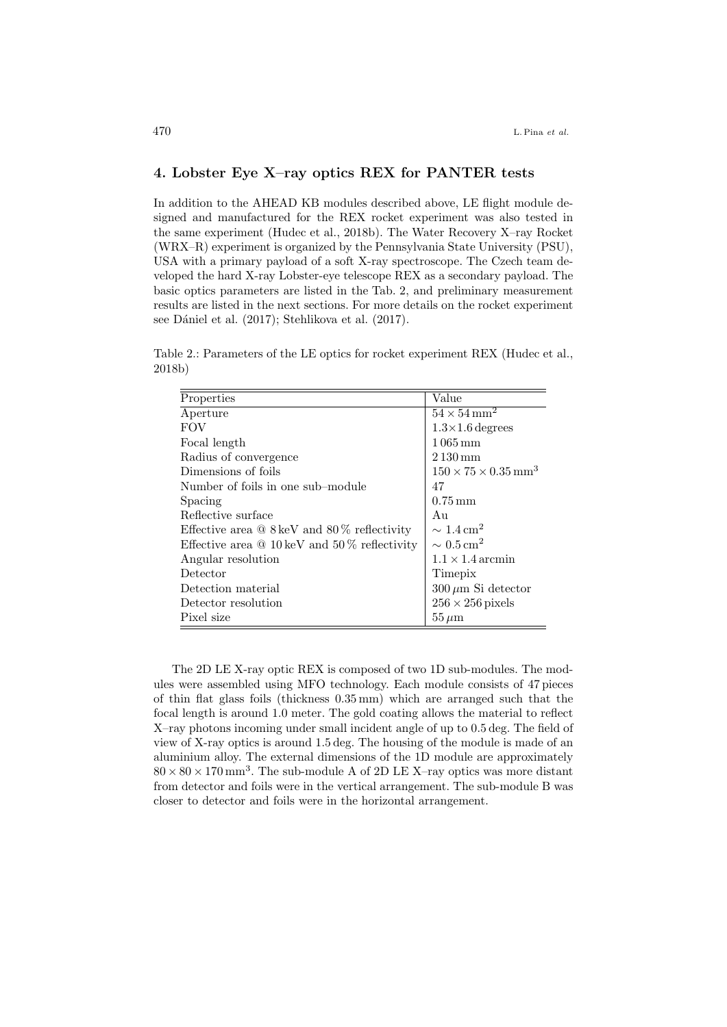# 4. Lobster Eye X–ray optics REX for PANTER tests

In addition to the AHEAD KB modules described above, LE flight module designed and manufactured for the REX rocket experiment was also tested in the same experiment (Hudec et al., 2018b). The Water Recovery X–ray Rocket (WRX–R) experiment is organized by the Pennsylvania State University (PSU), USA with a primary payload of a soft X-ray spectroscope. The Czech team developed the hard X-ray Lobster-eye telescope REX as a secondary payload. The basic optics parameters are listed in the Tab. 2, and preliminary measurement results are listed in the next sections. For more details on the rocket experiment see Dániel et al. (2017); Stehlikova et al. (2017).

Table 2.: Parameters of the LE optics for rocket experiment REX (Hudec et al., 2018b)

| Properties                                               | Value                                       |
|----------------------------------------------------------|---------------------------------------------|
| Aperture                                                 | $54 \times 54$ mm <sup>2</sup>              |
| <b>FOV</b>                                               | $1.3\times1.6$ degrees                      |
| Focal length                                             | $1065 \,\mathrm{mm}$                        |
| Radius of convergence                                    | $2130 \,\mathrm{mm}$                        |
| Dimensions of foils                                      | $150 \times 75 \times 0.35$ mm <sup>3</sup> |
| Number of foils in one sub–module                        | 47                                          |
| Spacing                                                  | $0.75 \,\mathrm{mm}$                        |
| Reflective surface                                       | Au                                          |
| Effective area $@8 \text{ keV}$ and $80\%$ reflectivity  | $\sim 1.4 \,\mathrm{cm}^2$                  |
| Effective area $@10 \text{ keV}$ and $50\%$ reflectivity | $\sim 0.5 \,\mathrm{cm}^2$                  |
| Angular resolution                                       | $1.1 \times 1.4$ arcmin                     |
| Detector                                                 | Timepix                                     |
| Detection material                                       | $300 \,\mu m$ Si detector                   |
| Detector resolution                                      | $256 \times 256$ pixels                     |
| Pixel size                                               | $55 \,\mu \mathrm{m}$                       |

The 2D LE X-ray optic REX is composed of two 1D sub-modules. The modules were assembled using MFO technology. Each module consists of 47 pieces of thin flat glass foils (thickness 0.35 mm) which are arranged such that the focal length is around 1.0 meter. The gold coating allows the material to reflect X–ray photons incoming under small incident angle of up to 0.5 deg. The field of view of X-ray optics is around 1.5 deg. The housing of the module is made of an aluminium alloy. The external dimensions of the 1D module are approximately  $80 \times 80 \times 170$  mm<sup>3</sup>. The sub-module A of 2D LE X-ray optics was more distant from detector and foils were in the vertical arrangement. The sub-module B was closer to detector and foils were in the horizontal arrangement.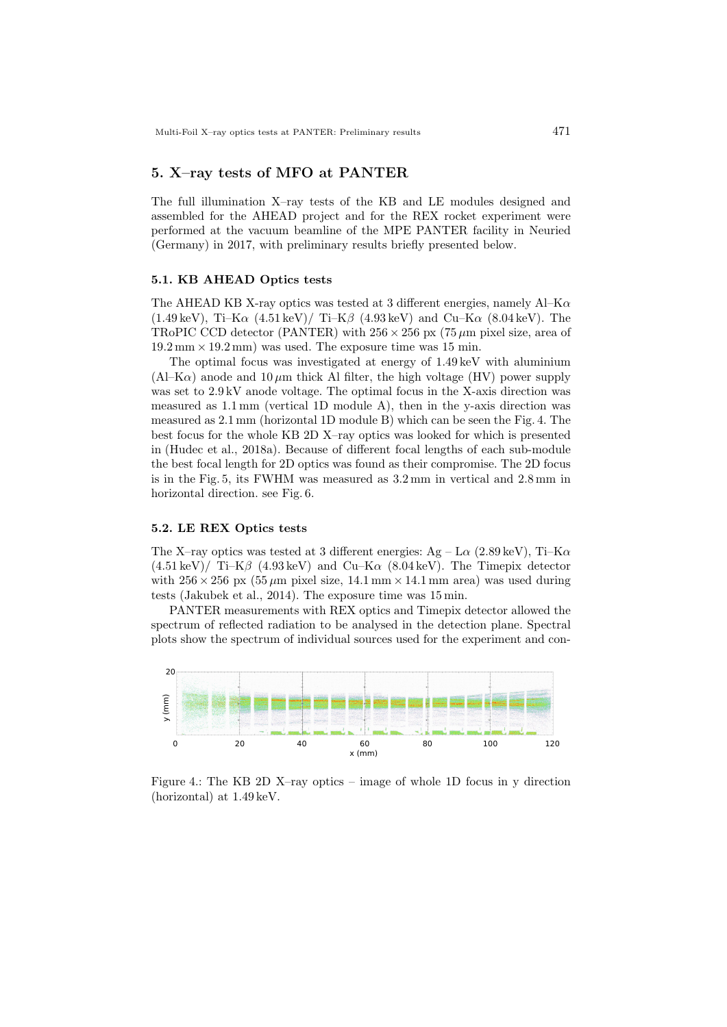# 5. X–ray tests of MFO at PANTER

The full illumination X–ray tests of the KB and LE modules designed and assembled for the AHEAD project and for the REX rocket experiment were performed at the vacuum beamline of the MPE PANTER facility in Neuried (Germany) in 2017, with preliminary results briefly presented below.

#### 5.1. KB AHEAD Optics tests

The AHEAD KB X-ray optics was tested at 3 different energies, namely  $AI-K\alpha$  $(1.49 \,\text{keV})$ , Ti–K $\alpha$   $(4.51 \,\text{keV})$  Ti–K $\beta$   $(4.93 \,\text{keV})$  and Cu–K $\alpha$   $(8.04 \,\text{keV})$ . The TRoPIC CCD detector (PANTER) with  $256 \times 256$  px (75  $\mu$ m pixel size, area of  $19.2 \text{ mm} \times 19.2 \text{ mm}$  was used. The exposure time was 15 min.

The optimal focus was investigated at energy of 1.49 keV with aluminium  $(AI-K\alpha)$  anode and  $10 \mu m$  thick Al filter, the high voltage (HV) power supply was set to 2.9 kV anode voltage. The optimal focus in the X-axis direction was measured as 1.1 mm (vertical 1D module A), then in the y-axis direction was measured as 2.1 mm (horizontal 1D module B) which can be seen the Fig. 4. The best focus for the whole KB 2D X–ray optics was looked for which is presented in (Hudec et al., 2018a). Because of different focal lengths of each sub-module the best focal length for 2D optics was found as their compromise. The 2D focus is in the Fig. 5, its FWHM was measured as 3.2 mm in vertical and 2.8 mm in horizontal direction. see Fig. 6.

#### 5.2. LE REX Optics tests

The X–ray optics was tested at 3 different energies:  $Ag - I\alpha$  (2.89 keV), Ti–K $\alpha$  $(4.51 \,\text{keV})/$  Ti–K $\beta$  (4.93 keV) and Cu–K $\alpha$  (8.04 keV). The Timepix detector with  $256 \times 256$  px  $(55 \,\mu m)$  pixel size, 14.1 mm  $\times$  14.1 mm area) was used during tests (Jakubek et al., 2014). The exposure time was 15 min.

PANTER measurements with REX optics and Timepix detector allowed the spectrum of reflected radiation to be analysed in the detection plane. Spectral plots show the spectrum of individual sources used for the experiment and con-



Figure 4.: The KB 2D X–ray optics – image of whole 1D focus in y direction (horizontal) at 1.49 keV.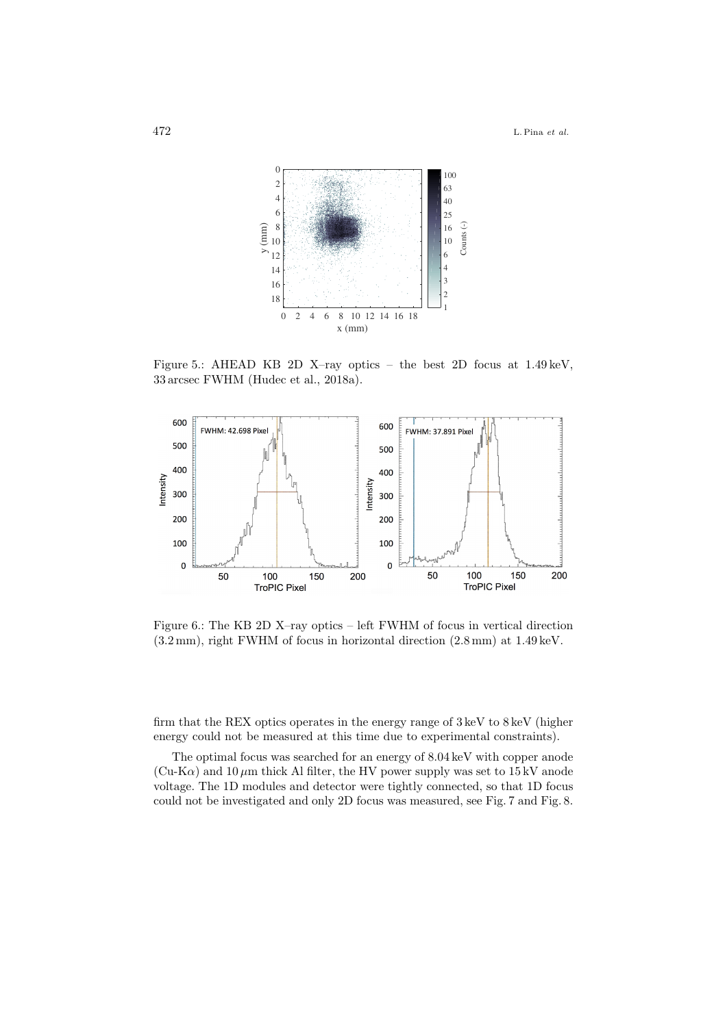

Figure 5.: AHEAD KB 2D X–ray optics – the best 2D focus at 1.49 keV, 33 arcsec FWHM (Hudec et al., 2018a).



Figure 6.: The KB 2D X–ray optics – left FWHM of focus in vertical direction (3.2 mm), right FWHM of focus in horizontal direction (2.8 mm) at 1.49 keV.

firm that the REX optics operates in the energy range of 3 keV to 8 keV (higher energy could not be measured at this time due to experimental constraints).

The optimal focus was searched for an energy of 8.04 keV with copper anode (Cu-K $\alpha$ ) and 10  $\mu$ m thick Al filter, the HV power supply was set to 15 kV anode voltage. The 1D modules and detector were tightly connected, so that 1D focus could not be investigated and only 2D focus was measured, see Fig. 7 and Fig. 8.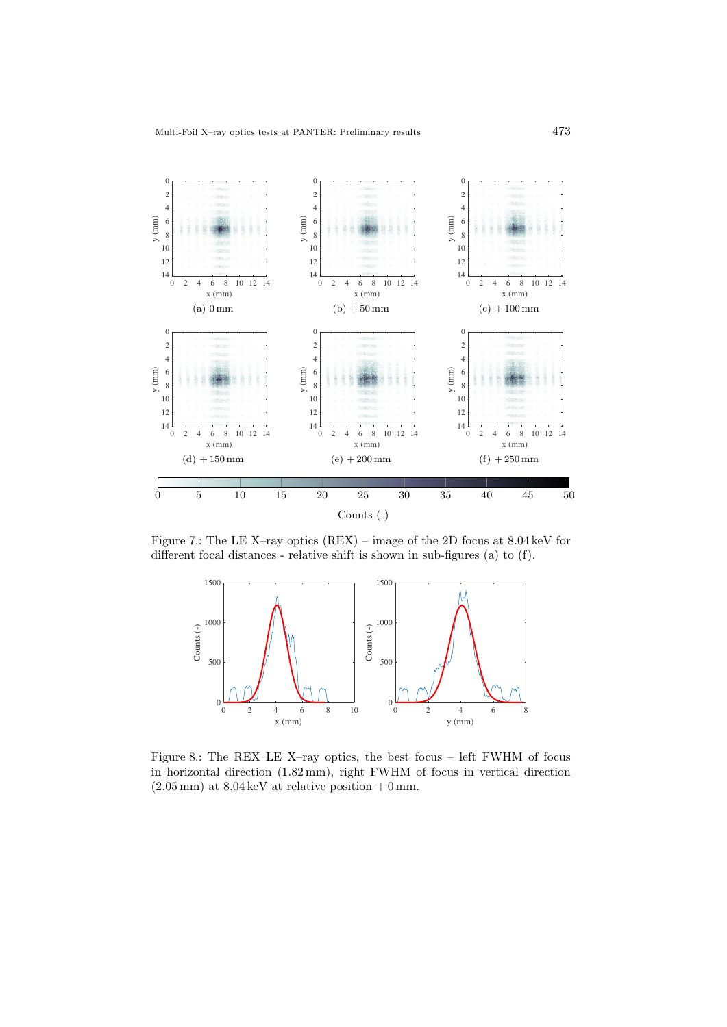

Figure 7.: The LE X–ray optics (REX) – image of the 2D focus at 8.04 keV for different focal distances - relative shift is shown in sub-figures (a) to (f).



Figure 8.: The REX LE X–ray optics, the best focus – left FWHM of focus in horizontal direction (1.82 mm), right FWHM of focus in vertical direction  $(2.05 \,\mathrm{mm})$  at  $8.04 \,\mathrm{keV}$  at relative position  $+0 \,\mathrm{mm}$ .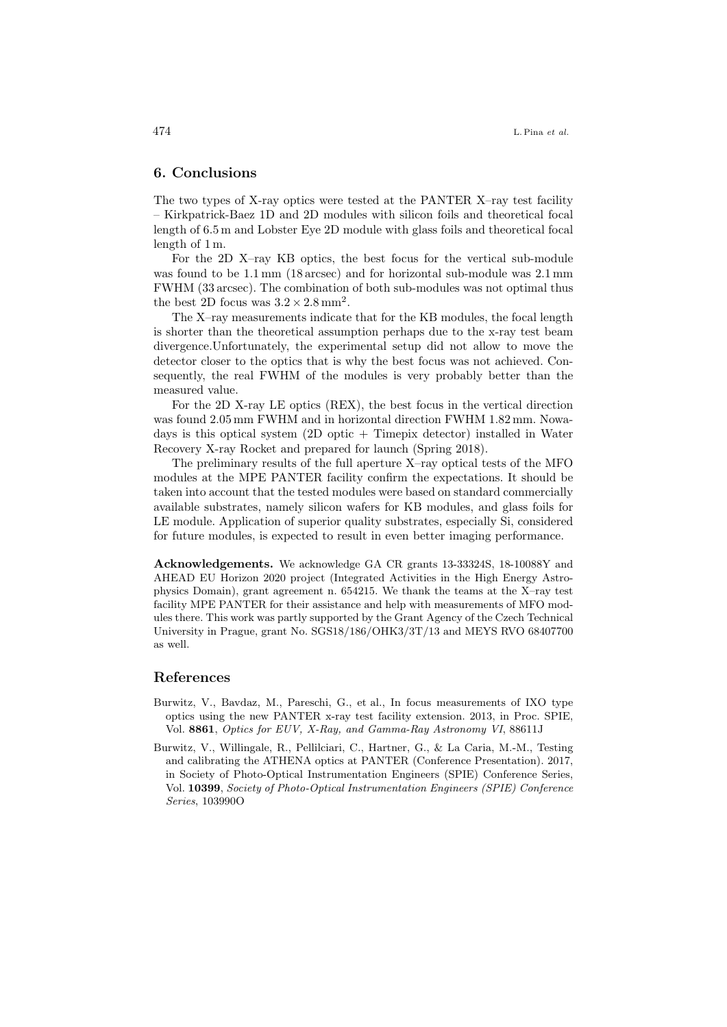#### 6. Conclusions

The two types of X-ray optics were tested at the PANTER X–ray test facility – Kirkpatrick-Baez 1D and 2D modules with silicon foils and theoretical focal length of 6.5 m and Lobster Eye 2D module with glass foils and theoretical focal length of 1 m.

For the 2D X–ray KB optics, the best focus for the vertical sub-module was found to be 1.1 mm (18 arcsec) and for horizontal sub-module was 2.1 mm FWHM (33 arcsec). The combination of both sub-modules was not optimal thus the best 2D focus was  $3.2 \times 2.8 \text{ mm}^2$ .

The X–ray measurements indicate that for the KB modules, the focal length is shorter than the theoretical assumption perhaps due to the x-ray test beam divergence.Unfortunately, the experimental setup did not allow to move the detector closer to the optics that is why the best focus was not achieved. Consequently, the real FWHM of the modules is very probably better than the measured value.

For the 2D X-ray LE optics (REX), the best focus in the vertical direction was found 2.05 mm FWHM and in horizontal direction FWHM 1.82 mm. Nowadays is this optical system (2D optic + Timepix detector) installed in Water Recovery X-ray Rocket and prepared for launch (Spring 2018).

The preliminary results of the full aperture X–ray optical tests of the MFO modules at the MPE PANTER facility confirm the expectations. It should be taken into account that the tested modules were based on standard commercially available substrates, namely silicon wafers for KB modules, and glass foils for LE module. Application of superior quality substrates, especially Si, considered for future modules, is expected to result in even better imaging performance.

Acknowledgements. We acknowledge GA CR grants 13-33324S, 18-10088Y and AHEAD EU Horizon 2020 project (Integrated Activities in the High Energy Astrophysics Domain), grant agreement n. 654215. We thank the teams at the X–ray test facility MPE PANTER for their assistance and help with measurements of MFO modules there. This work was partly supported by the Grant Agency of the Czech Technical University in Prague, grant No. SGS18/186/OHK3/3T/13 and MEYS RVO 68407700 as well.

#### References

- Burwitz, V., Bavdaz, M., Pareschi, G., et al., In focus measurements of IXO type optics using the new PANTER x-ray test facility extension. 2013, in Proc. SPIE, Vol. 8861, Optics for EUV, X-Ray, and Gamma-Ray Astronomy VI, 88611J
- Burwitz, V., Willingale, R., Pellilciari, C., Hartner, G., & La Caria, M.-M., Testing and calibrating the ATHENA optics at PANTER (Conference Presentation). 2017, in Society of Photo-Optical Instrumentation Engineers (SPIE) Conference Series, Vol. 10399, Society of Photo-Optical Instrumentation Engineers (SPIE) Conference Series, 103990O